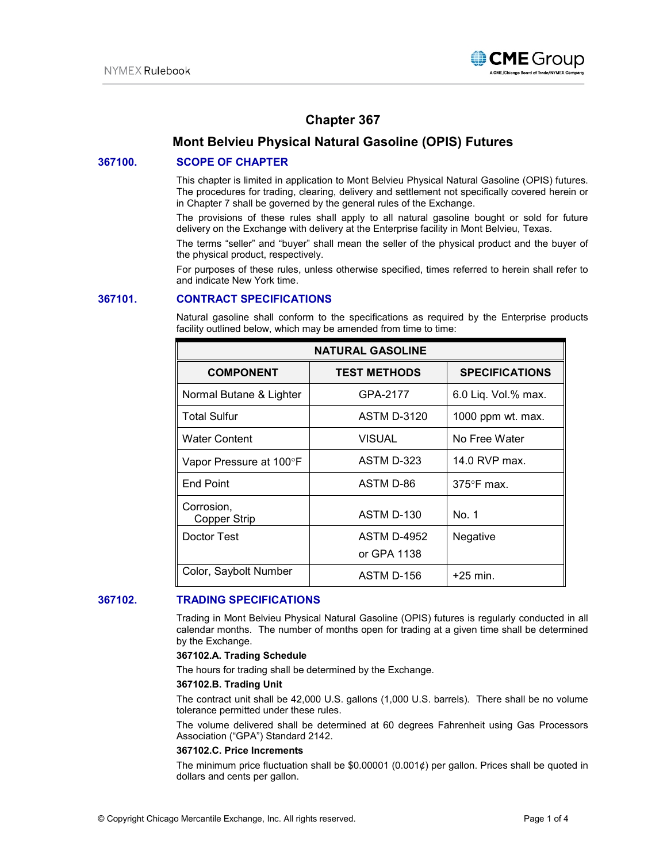

# **Chapter 367**

# **Mont Belvieu Physical Natural Gasoline (OPIS) Futures**

# **367100. SCOPE OF CHAPTER**

This chapter is limited in application to Mont Belvieu Physical Natural Gasoline (OPIS) futures. The procedures for trading, clearing, delivery and settlement not specifically covered herein or in Chapter 7 shall be governed by the general rules of the Exchange.

The provisions of these rules shall apply to all natural gasoline bought or sold for future delivery on the Exchange with delivery at the Enterprise facility in Mont Belvieu, Texas.

The terms "seller" and "buyer" shall mean the seller of the physical product and the buyer of the physical product, respectively.

For purposes of these rules, unless otherwise specified, times referred to herein shall refer to and indicate New York time.

# **367101. CONTRACT SPECIFICATIONS**

Natural gasoline shall conform to the specifications as required by the Enterprise products facility outlined below, which may be amended from time to time:

| <b>NATURAL GASOLINE</b>           |                     |                       |
|-----------------------------------|---------------------|-----------------------|
| <b>COMPONENT</b>                  | <b>TEST METHODS</b> | <b>SPECIFICATIONS</b> |
| Normal Butane & Lighter           | GPA-2177            | 6.0 Liq. Vol.% max.   |
| <b>Total Sulfur</b>               | <b>ASTM D-3120</b>  | 1000 ppm wt. max.     |
| <b>Water Content</b>              | VISUAL              | No Free Water         |
| Vapor Pressure at 100°F           | ASTM D-323          | 14.0 RVP max.         |
| <b>End Point</b>                  | ASTM D-86           | $375^\circ$ F max.    |
| Corrosion,<br><b>Copper Strip</b> | ASTM D-130          | No. 1                 |
| Doctor Test                       | <b>ASTM D-4952</b>  | Negative              |
|                                   | or GPA 1138         |                       |
| Color, Saybolt Number             | ASTM D-156          | $+25$ min.            |

# **367102. TRADING SPECIFICATIONS**

Trading in Mont Belvieu Physical Natural Gasoline (OPIS) futures is regularly conducted in all calendar months. The number of months open for trading at a given time shall be determined by the Exchange.

#### **367102.A. Trading Schedule**

The hours for trading shall be determined by the Exchange.

### **367102.B. Trading Unit**

The contract unit shall be 42,000 U.S. gallons (1,000 U.S. barrels). There shall be no volume tolerance permitted under these rules.

The volume delivered shall be determined at 60 degrees Fahrenheit using Gas Processors Association ("GPA") Standard 2142.

#### **367102.C. Price Increments**

The minimum price fluctuation shall be  $$0.00001$  (0.001¢) per gallon. Prices shall be quoted in dollars and cents per gallon.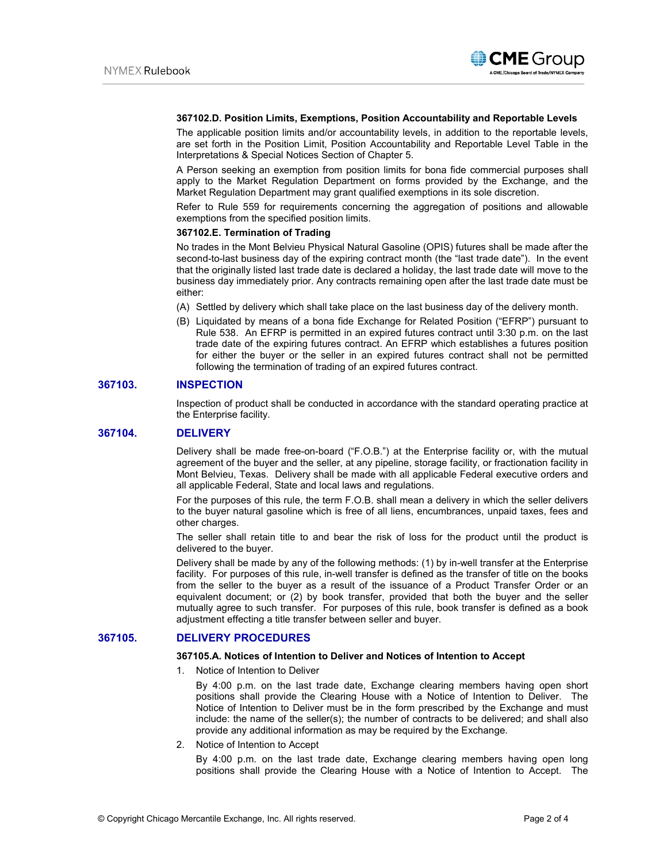

### **367102.D. Position Limits, Exemptions, Position Accountability and Reportable Levels**

The applicable position limits and/or accountability levels, in addition to the reportable levels, are set forth in the Position Limit, Position Accountability and Reportable Level Table in the Interpretations & Special Notices Section of Chapter 5.

A Person seeking an exemption from position limits for bona fide commercial purposes shall apply to the Market Regulation Department on forms provided by the Exchange, and the Market Regulation Department may grant qualified exemptions in its sole discretion.

Refer to Rule 559 for requirements concerning the aggregation of positions and allowable exemptions from the specified position limits.

### **367102.E. Termination of Trading**

No trades in the Mont Belvieu Physical Natural Gasoline (OPIS) futures shall be made after the second-to-last business day of the expiring contract month (the "last trade date"). In the event that the originally listed last trade date is declared a holiday, the last trade date will move to the business day immediately prior. Any contracts remaining open after the last trade date must be either:

- (A) Settled by delivery which shall take place on the last business day of the delivery month.
- (B) Liquidated by means of a bona fide Exchange for Related Position ("EFRP") pursuant to Rule 538. An EFRP is permitted in an expired futures contract until 3:30 p.m. on the last trade date of the expiring futures contract. An EFRP which establishes a futures position for either the buyer or the seller in an expired futures contract shall not be permitted following the termination of trading of an expired futures contract.

# **367103. INSPECTION**

Inspection of product shall be conducted in accordance with the standard operating practice at the Enterprise facility.

# **367104. DELIVERY**

Delivery shall be made free-on-board ("F.O.B.") at the Enterprise facility or, with the mutual agreement of the buyer and the seller, at any pipeline, storage facility, or fractionation facility in Mont Belvieu, Texas. Delivery shall be made with all applicable Federal executive orders and all applicable Federal, State and local laws and regulations.

For the purposes of this rule, the term F.O.B. shall mean a delivery in which the seller delivers to the buyer natural gasoline which is free of all liens, encumbrances, unpaid taxes, fees and other charges.

The seller shall retain title to and bear the risk of loss for the product until the product is delivered to the buyer.

Delivery shall be made by any of the following methods: (1) by in-well transfer at the Enterprise facility. For purposes of this rule, in-well transfer is defined as the transfer of title on the books from the seller to the buyer as a result of the issuance of a Product Transfer Order or an equivalent document; or (2) by book transfer, provided that both the buyer and the seller mutually agree to such transfer. For purposes of this rule, book transfer is defined as a book adjustment effecting a title transfer between seller and buyer.

# **367105. DELIVERY PROCEDURES**

#### **367105.A. Notices of Intention to Deliver and Notices of Intention to Accept**

1. Notice of Intention to Deliver

By 4:00 p.m. on the last trade date, Exchange clearing members having open short positions shall provide the Clearing House with a Notice of Intention to Deliver. The Notice of Intention to Deliver must be in the form prescribed by the Exchange and must include: the name of the seller(s); the number of contracts to be delivered; and shall also provide any additional information as may be required by the Exchange.

2. Notice of Intention to Accept

By 4:00 p.m. on the last trade date, Exchange clearing members having open long positions shall provide the Clearing House with a Notice of Intention to Accept. The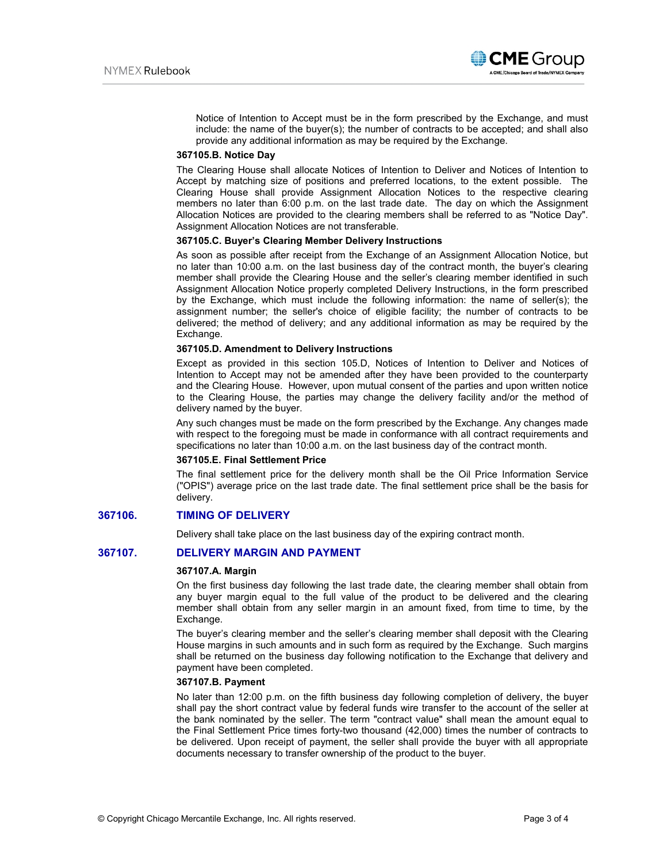

Notice of Intention to Accept must be in the form prescribed by the Exchange, and must include: the name of the buyer(s); the number of contracts to be accepted; and shall also provide any additional information as may be required by the Exchange.

#### **367105.B. Notice Day**

The Clearing House shall allocate Notices of Intention to Deliver and Notices of Intention to Accept by matching size of positions and preferred locations, to the extent possible. The Clearing House shall provide Assignment Allocation Notices to the respective clearing members no later than 6:00 p.m. on the last trade date. The day on which the Assignment Allocation Notices are provided to the clearing members shall be referred to as "Notice Day". Assignment Allocation Notices are not transferable.

#### **367105.C. Buyer's Clearing Member Delivery Instructions**

As soon as possible after receipt from the Exchange of an Assignment Allocation Notice, but no later than 10:00 a.m. on the last business day of the contract month, the buyer's clearing member shall provide the Clearing House and the seller's clearing member identified in such Assignment Allocation Notice properly completed Delivery Instructions, in the form prescribed by the Exchange, which must include the following information: the name of seller(s); the assignment number; the seller's choice of eligible facility; the number of contracts to be delivered; the method of delivery; and any additional information as may be required by the Exchange.

#### **367105.D. Amendment to Delivery Instructions**

Except as provided in this section 105.D, Notices of Intention to Deliver and Notices of Intention to Accept may not be amended after they have been provided to the counterparty and the Clearing House. However, upon mutual consent of the parties and upon written notice to the Clearing House, the parties may change the delivery facility and/or the method of delivery named by the buyer.

Any such changes must be made on the form prescribed by the Exchange. Any changes made with respect to the foregoing must be made in conformance with all contract requirements and specifications no later than 10:00 a.m. on the last business day of the contract month.

#### **367105.E. Final Settlement Price**

The final settlement price for the delivery month shall be the Oil Price Information Service ("OPIS") average price on the last trade date. The final settlement price shall be the basis for delivery.

# **367106. TIMING OF DELIVERY**

Delivery shall take place on the last business day of the expiring contract month.

# **367107. DELIVERY MARGIN AND PAYMENT**

#### **367107.A. Margin**

On the first business day following the last trade date, the clearing member shall obtain from any buyer margin equal to the full value of the product to be delivered and the clearing member shall obtain from any seller margin in an amount fixed, from time to time, by the Exchange.

The buyer's clearing member and the seller's clearing member shall deposit with the Clearing House margins in such amounts and in such form as required by the Exchange. Such margins shall be returned on the business day following notification to the Exchange that delivery and payment have been completed.

### **367107.B. Payment**

No later than 12:00 p.m. on the fifth business day following completion of delivery, the buyer shall pay the short contract value by federal funds wire transfer to the account of the seller at the bank nominated by the seller. The term "contract value" shall mean the amount equal to the Final Settlement Price times forty-two thousand (42,000) times the number of contracts to be delivered. Upon receipt of payment, the seller shall provide the buyer with all appropriate documents necessary to transfer ownership of the product to the buyer.